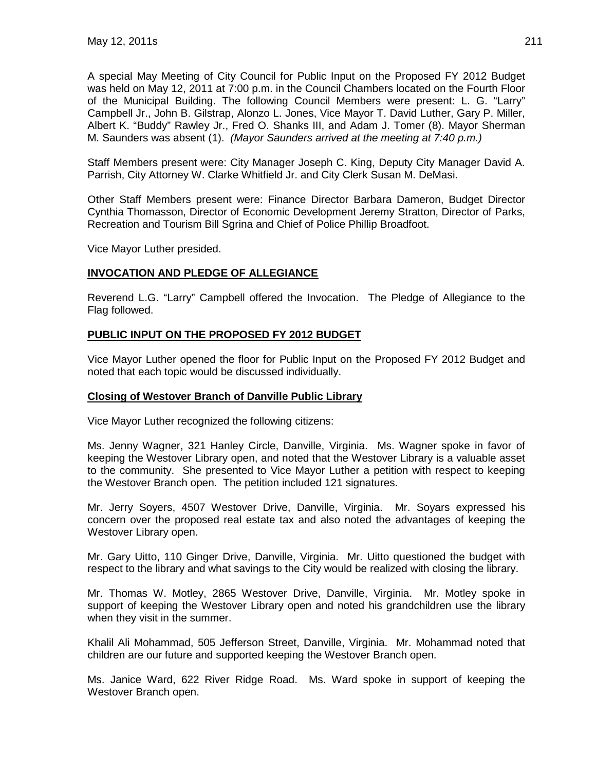A special May Meeting of City Council for Public Input on the Proposed FY 2012 Budget was held on May 12, 2011 at 7:00 p.m. in the Council Chambers located on the Fourth Floor of the Municipal Building. The following Council Members were present: L. G. "Larry" Campbell Jr., John B. Gilstrap, Alonzo L. Jones, Vice Mayor T. David Luther, Gary P. Miller, Albert K. "Buddy" Rawley Jr., Fred O. Shanks III, and Adam J. Tomer (8). Mayor Sherman M. Saunders was absent (1). *(Mayor Saunders arrived at the meeting at 7:40 p.m.)*

Staff Members present were: City Manager Joseph C. King, Deputy City Manager David A. Parrish, City Attorney W. Clarke Whitfield Jr. and City Clerk Susan M. DeMasi.

Other Staff Members present were: Finance Director Barbara Dameron, Budget Director Cynthia Thomasson, Director of Economic Development Jeremy Stratton, Director of Parks, Recreation and Tourism Bill Sgrina and Chief of Police Phillip Broadfoot.

Vice Mayor Luther presided.

## **INVOCATION AND PLEDGE OF ALLEGIANCE**

Reverend L.G. "Larry" Campbell offered the Invocation. The Pledge of Allegiance to the Flag followed.

## **PUBLIC INPUT ON THE PROPOSED FY 2012 BUDGET**

Vice Mayor Luther opened the floor for Public Input on the Proposed FY 2012 Budget and noted that each topic would be discussed individually.

#### **Closing of Westover Branch of Danville Public Library**

Vice Mayor Luther recognized the following citizens:

Ms. Jenny Wagner, 321 Hanley Circle, Danville, Virginia. Ms. Wagner spoke in favor of keeping the Westover Library open, and noted that the Westover Library is a valuable asset to the community. She presented to Vice Mayor Luther a petition with respect to keeping the Westover Branch open. The petition included 121 signatures.

Mr. Jerry Soyers, 4507 Westover Drive, Danville, Virginia. Mr. Soyars expressed his concern over the proposed real estate tax and also noted the advantages of keeping the Westover Library open.

Mr. Gary Uitto, 110 Ginger Drive, Danville, Virginia. Mr. Uitto questioned the budget with respect to the library and what savings to the City would be realized with closing the library.

Mr. Thomas W. Motley, 2865 Westover Drive, Danville, Virginia. Mr. Motley spoke in support of keeping the Westover Library open and noted his grandchildren use the library when they visit in the summer.

Khalil Ali Mohammad, 505 Jefferson Street, Danville, Virginia. Mr. Mohammad noted that children are our future and supported keeping the Westover Branch open.

Ms. Janice Ward, 622 River Ridge Road. Ms. Ward spoke in support of keeping the Westover Branch open.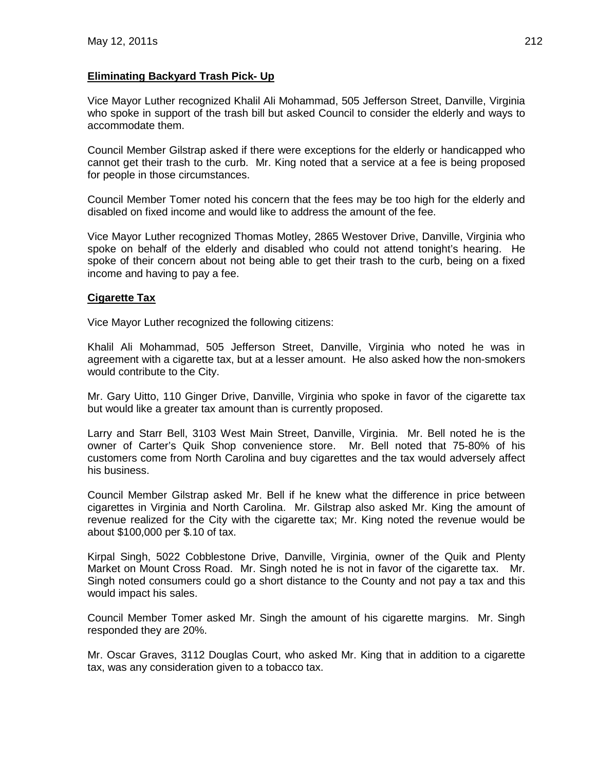# **Eliminating Backyard Trash Pick- Up**

Vice Mayor Luther recognized Khalil Ali Mohammad, 505 Jefferson Street, Danville, Virginia who spoke in support of the trash bill but asked Council to consider the elderly and ways to accommodate them.

Council Member Gilstrap asked if there were exceptions for the elderly or handicapped who cannot get their trash to the curb. Mr. King noted that a service at a fee is being proposed for people in those circumstances.

Council Member Tomer noted his concern that the fees may be too high for the elderly and disabled on fixed income and would like to address the amount of the fee.

Vice Mayor Luther recognized Thomas Motley, 2865 Westover Drive, Danville, Virginia who spoke on behalf of the elderly and disabled who could not attend tonight's hearing. He spoke of their concern about not being able to get their trash to the curb, being on a fixed income and having to pay a fee.

## **Cigarette Tax**

Vice Mayor Luther recognized the following citizens:

Khalil Ali Mohammad, 505 Jefferson Street, Danville, Virginia who noted he was in agreement with a cigarette tax, but at a lesser amount. He also asked how the non-smokers would contribute to the City.

Mr. Gary Uitto, 110 Ginger Drive, Danville, Virginia who spoke in favor of the cigarette tax but would like a greater tax amount than is currently proposed.

Larry and Starr Bell, 3103 West Main Street, Danville, Virginia. Mr. Bell noted he is the owner of Carter's Quik Shop convenience store. Mr. Bell noted that 75-80% of his customers come from North Carolina and buy cigarettes and the tax would adversely affect his business.

Council Member Gilstrap asked Mr. Bell if he knew what the difference in price between cigarettes in Virginia and North Carolina. Mr. Gilstrap also asked Mr. King the amount of revenue realized for the City with the cigarette tax; Mr. King noted the revenue would be about \$100,000 per \$.10 of tax.

Kirpal Singh, 5022 Cobblestone Drive, Danville, Virginia, owner of the Quik and Plenty Market on Mount Cross Road. Mr. Singh noted he is not in favor of the cigarette tax. Mr. Singh noted consumers could go a short distance to the County and not pay a tax and this would impact his sales.

Council Member Tomer asked Mr. Singh the amount of his cigarette margins. Mr. Singh responded they are 20%.

Mr. Oscar Graves, 3112 Douglas Court, who asked Mr. King that in addition to a cigarette tax, was any consideration given to a tobacco tax.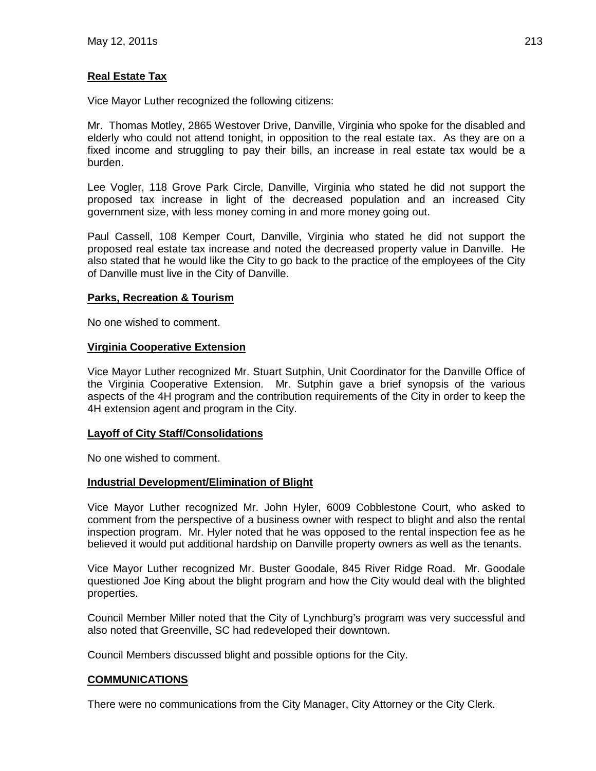# **Real Estate Tax**

Vice Mayor Luther recognized the following citizens:

Mr. Thomas Motley, 2865 Westover Drive, Danville, Virginia who spoke for the disabled and elderly who could not attend tonight, in opposition to the real estate tax. As they are on a fixed income and struggling to pay their bills, an increase in real estate tax would be a burden.

Lee Vogler, 118 Grove Park Circle, Danville, Virginia who stated he did not support the proposed tax increase in light of the decreased population and an increased City government size, with less money coming in and more money going out.

Paul Cassell, 108 Kemper Court, Danville, Virginia who stated he did not support the proposed real estate tax increase and noted the decreased property value in Danville. He also stated that he would like the City to go back to the practice of the employees of the City of Danville must live in the City of Danville.

### **Parks, Recreation & Tourism**

No one wished to comment.

### **Virginia Cooperative Extension**

Vice Mayor Luther recognized Mr. Stuart Sutphin, Unit Coordinator for the Danville Office of the Virginia Cooperative Extension. Mr. Sutphin gave a brief synopsis of the various aspects of the 4H program and the contribution requirements of the City in order to keep the 4H extension agent and program in the City.

## **Layoff of City Staff/Consolidations**

No one wished to comment.

#### **Industrial Development/Elimination of Blight**

Vice Mayor Luther recognized Mr. John Hyler, 6009 Cobblestone Court, who asked to comment from the perspective of a business owner with respect to blight and also the rental inspection program. Mr. Hyler noted that he was opposed to the rental inspection fee as he believed it would put additional hardship on Danville property owners as well as the tenants.

Vice Mayor Luther recognized Mr. Buster Goodale, 845 River Ridge Road. Mr. Goodale questioned Joe King about the blight program and how the City would deal with the blighted properties.

Council Member Miller noted that the City of Lynchburg's program was very successful and also noted that Greenville, SC had redeveloped their downtown.

Council Members discussed blight and possible options for the City.

## **COMMUNICATIONS**

There were no communications from the City Manager, City Attorney or the City Clerk.